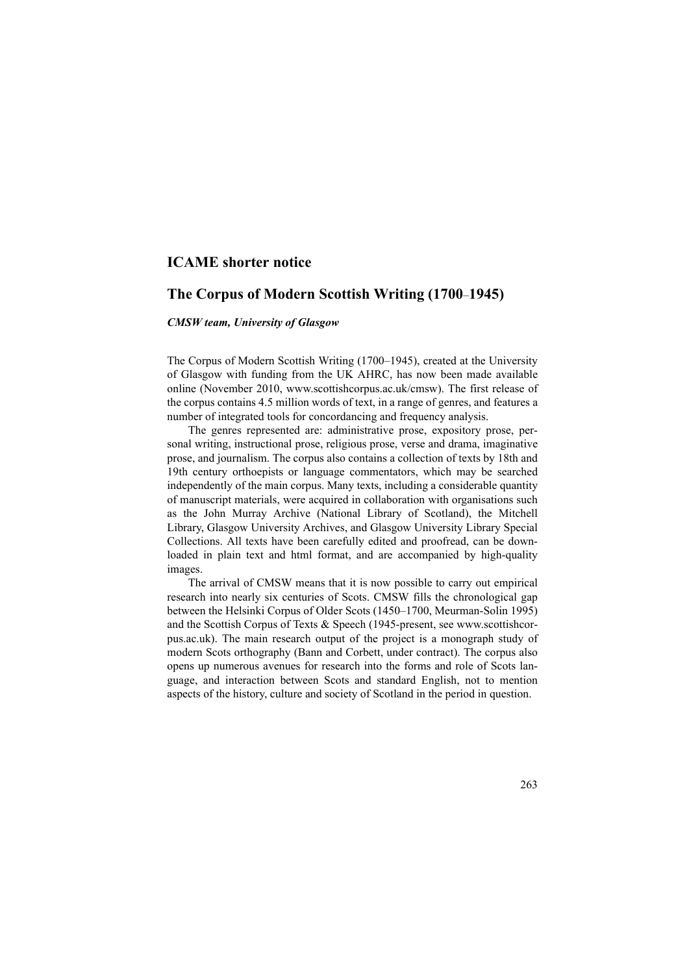## **ICAME shorter notice**

## **The Corpus of Modern Scottish Writing (1700**–**1945)**

## *CMSW team, University of Glasgow*

The Corpus of Modern Scottish Writing (1700–1945), created at the University of Glasgow with funding from the UK AHRC, has now been made available online (November 2010, www.scottishcorpus.ac.uk/cmsw). The first release of the corpus contains 4.5 million words of text, in a range of genres, and features a number of integrated tools for concordancing and frequency analysis.

The genres represented are: administrative prose, expository prose, personal writing, instructional prose, religious prose, verse and drama, imaginative prose, and journalism. The corpus also contains a collection of texts by 18th and 19th century orthoepists or language commentators, which may be searched independently of the main corpus. Many texts, including a considerable quantity of manuscript materials, were acquired in collaboration with organisations such as the John Murray Archive (National Library of Scotland), the Mitchell Library, Glasgow University Archives, and Glasgow University Library Special Collections. All texts have been carefully edited and proofread, can be downloaded in plain text and html format, and are accompanied by high-quality images.

The arrival of CMSW means that it is now possible to carry out empirical research into nearly six centuries of Scots. CMSW fills the chronological gap between the Helsinki Corpus of Older Scots (1450–1700, Meurman-Solin 1995) and the Scottish Corpus of Texts & Speech (1945-present, see www.scottishcorpus.ac.uk). The main research output of the project is a monograph study of modern Scots orthography (Bann and Corbett, under contract). The corpus also opens up numerous avenues for research into the forms and role of Scots language, and interaction between Scots and standard English, not to mention aspects of the history, culture and society of Scotland in the period in question.